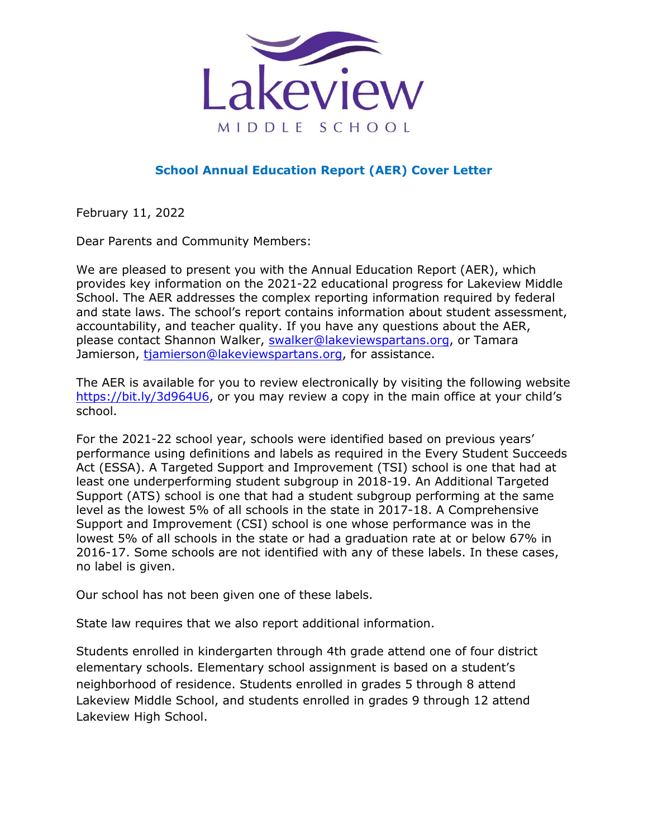

## **School Annual Education Report (AER) Cover Letter**

February 11, 2022

Dear Parents and Community Members:

We are pleased to present you with the Annual Education Report (AER), which provides key information on the 2021-22 educational progress for Lakeview Middle School. The AER addresses the complex reporting information required by federal and state laws. The school's report contains information about student assessment, accountability, and teacher quality. If you have any questions about the AER, please contact Shannon Walker, [swalker@lakeviewspartans.org,](mailto:swalker@lakeviewspartans.org) or Tamara Jamierson, [tjamierson@lakeviewspartans.org,](mailto:tjamierson@lakeviewspartans.org) for assistance.

The AER is available for you to review electronically by visiting the following website [https://bit.ly/3d964U6,](https://bit.ly/3d964U6) or you may review a copy in the main office at your child's school.

For the 2021-22 school year, schools were identified based on previous years' performance using definitions and labels as required in the Every Student Succeeds Act (ESSA). A Targeted Support and Improvement (TSI) school is one that had at least one underperforming student subgroup in 2018-19. An Additional Targeted Support (ATS) school is one that had a student subgroup performing at the same level as the lowest 5% of all schools in the state in 2017-18. A Comprehensive Support and Improvement (CSI) school is one whose performance was in the lowest 5% of all schools in the state or had a graduation rate at or below 67% in 2016-17. Some schools are not identified with any of these labels. In these cases, no label is given.

Our school has not been given one of these labels.

State law requires that we also report additional information.

Students enrolled in kindergarten through 4th grade attend one of four district elementary schools. Elementary school assignment is based on a student's neighborhood of residence. Students enrolled in grades 5 through 8 attend Lakeview Middle School, and students enrolled in grades 9 through 12 attend Lakeview High School.